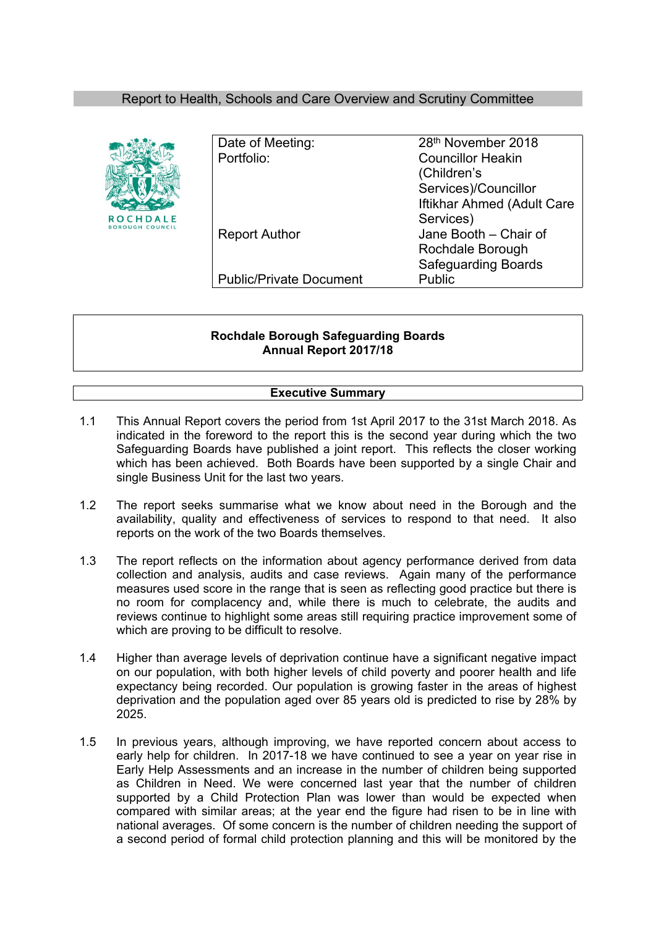# Report to Health, Schools and Care Overview and Scrutiny Committee



| Date of Meeting:               | 28th November 2018         |
|--------------------------------|----------------------------|
| Portfolio:                     | <b>Councillor Heakin</b>   |
|                                | (Children's                |
|                                | Services)/Councillor       |
|                                | Iftikhar Ahmed (Adult Care |
|                                | Services)                  |
| <b>Report Author</b>           | Jane Booth - Chair of      |
|                                | Rochdale Borough           |
|                                | <b>Safeguarding Boards</b> |
| <b>Public/Private Document</b> | Public                     |
|                                |                            |

## **Rochdale Borough Safeguarding Boards Annual Report 2017/18**

# **Executive Summary**

- 1.1 This Annual Report covers the period from 1st April 2017 to the 31st March 2018. As indicated in the foreword to the report this is the second year during which the two Safeguarding Boards have published a joint report. This reflects the closer working which has been achieved. Both Boards have been supported by a single Chair and single Business Unit for the last two years.
- 1.2 The report seeks summarise what we know about need in the Borough and the availability, quality and effectiveness of services to respond to that need. It also reports on the work of the two Boards themselves.
- 1.3 The report reflects on the information about agency performance derived from data collection and analysis, audits and case reviews. Again many of the performance measures used score in the range that is seen as reflecting good practice but there is no room for complacency and, while there is much to celebrate, the audits and reviews continue to highlight some areas still requiring practice improvement some of which are proving to be difficult to resolve.
- 1.4 Higher than average levels of deprivation continue have a significant negative impact on our population, with both higher levels of child poverty and poorer health and life expectancy being recorded. Our population is growing faster in the areas of highest deprivation and the population aged over 85 years old is predicted to rise by 28% by 2025.
- 1.5 In previous years, although improving, we have reported concern about access to early help for children. In 2017-18 we have continued to see a year on year rise in Early Help Assessments and an increase in the number of children being supported as Children in Need. We were concerned last year that the number of children supported by a Child Protection Plan was lower than would be expected when compared with similar areas; at the year end the figure had risen to be in line with national averages. Of some concern is the number of children needing the support of a second period of formal child protection planning and this will be monitored by the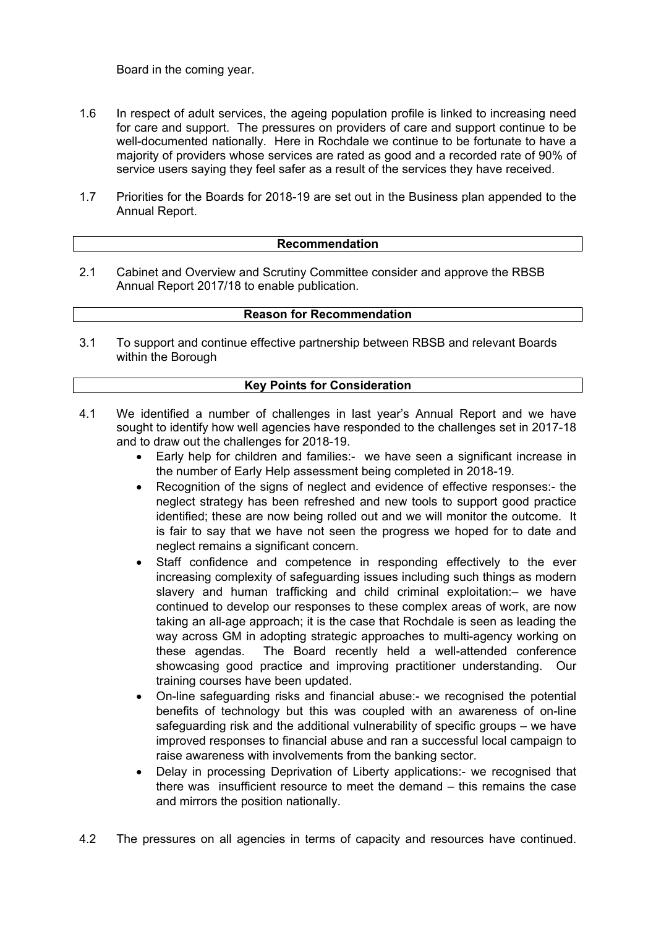Board in the coming year.

- 1.6 In respect of adult services, the ageing population profile is linked to increasing need for care and support. The pressures on providers of care and support continue to be well-documented nationally. Here in Rochdale we continue to be fortunate to have a majority of providers whose services are rated as good and a recorded rate of 90% of service users saying they feel safer as a result of the services they have received.
- 1.7 Priorities for the Boards for 2018-19 are set out in the Business plan appended to the Annual Report.

#### **Recommendation**

2.1 Cabinet and Overview and Scrutiny Committee consider and approve the RBSB Annual Report 2017/18 to enable publication.

### **Reason for Recommendation**

3.1 To support and continue effective partnership between RBSB and relevant Boards within the Borough

### **Key Points for Consideration**

- 4.1 We identified a number of challenges in last year's Annual Report and we have sought to identify how well agencies have responded to the challenges set in 2017-18 and to draw out the challenges for 2018-19.
	- Early help for children and families:- we have seen a significant increase in the number of Early Help assessment being completed in 2018-19.
	- Recognition of the signs of neglect and evidence of effective responses:- the neglect strategy has been refreshed and new tools to support good practice identified; these are now being rolled out and we will monitor the outcome. It is fair to say that we have not seen the progress we hoped for to date and neglect remains a significant concern.
	- Staff confidence and competence in responding effectively to the ever increasing complexity of safeguarding issues including such things as modern slavery and human trafficking and child criminal exploitation:– we have continued to develop our responses to these complex areas of work, are now taking an all-age approach; it is the case that Rochdale is seen as leading the way across GM in adopting strategic approaches to multi-agency working on these agendas. The Board recently held a well-attended conference showcasing good practice and improving practitioner understanding. Our training courses have been updated.
	- On-line safeguarding risks and financial abuse:- we recognised the potential benefits of technology but this was coupled with an awareness of on-line safeguarding risk and the additional vulnerability of specific groups – we have improved responses to financial abuse and ran a successful local campaign to raise awareness with involvements from the banking sector.
	- Delay in processing Deprivation of Liberty applications:- we recognised that there was insufficient resource to meet the demand – this remains the case and mirrors the position nationally.
- 4.2 The pressures on all agencies in terms of capacity and resources have continued.